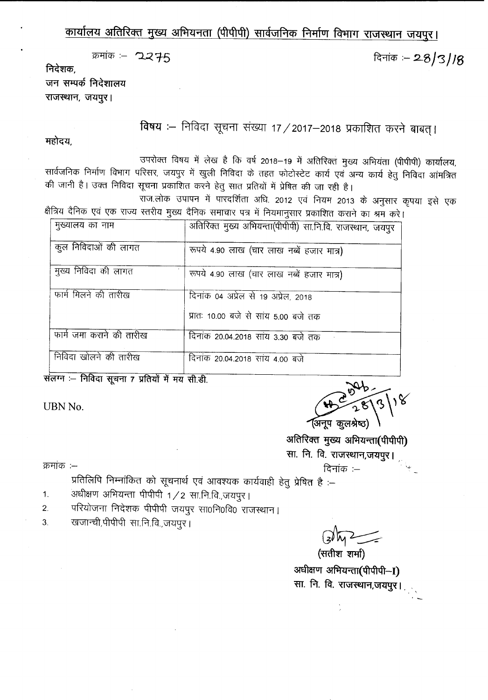### कार्यालय अतिरिक्त मुख्य अभियनता (पीपीपी) सार्वजनिक निर्माण विभाग राजस्थान जयपुर।

दिनांक :- 28/3/18

 $\pi$  $= 2.275$ 

निदेशक.

जन सम्पर्क निदेशालय राजस्थान, जयपुर।

विषय :- निविदा सूचना संख्या 17 / 2017-2018 प्रकाशित करने बाबत् ।

महोदय,

उपरोक्त विषय में लेख है कि वर्ष 2018-19 में अतिरिक्त मुख्य अभियंता (पीपीपी) कार्यालय, सार्वजनिक निर्माण विभाग परिसर, जयपुर में खुली निविदा के तहत फोटोस्टेट कार्य एवं अन्य कार्य हेतु निविदा आंमत्रित की जानी है। उक्त निविदा सूचना प्रकाशित करने हेतु सात प्रतियों में प्रेषित की जा रही है।

...<br>राज.लोक उपापन में पारदर्शिता अधि. 2012 एवं नियम 2013 के अनुसार कृपया इसे एक क्षैत्रिय दैनिक एवं एक राज्य स्तरीय मुख्य दैनिक समाचार पत्र में नियमानुसार प्रकाशित कराने का श्रम करें।

| मुख्यालय का नाम          | अतिरिक्त मुख्य अभियन्ता(पीपीपी) सा.नि.वि. राजस्थान, जयपुर |
|--------------------------|-----------------------------------------------------------|
| कुल निविदाओं की लागत     | रूपये 4.90 लाख (चार लाख नब्बें हजार मात्र)                |
| मुख्य निविदा की लागत     | रूपये 4.90 लाख (चार लाख नब्बें हजार मात्र)                |
| फार्म मिलने की तारीख     | दिनांक 04 अप्रेल से 19 अप्रेल, 2018                       |
|                          | प्रातः 10.00 बजे से सांय 5.00 बजे तक                      |
| फार्म जमा कराने की तारीख | दिनांक 20.04.2018 सांय 3.30 बजे तक                        |
| निविदा खोलने की तारीख    | दिनांक 20.04.2018 सांय 4.00 बजे                           |

संलग्न :- निविदा सूचना 7 प्रतियों में मय सी.डी.

UBN No.

(अनुप कुलश्रेष्ठ)

अतिरिक्त मुख्य अभियन्ता(पीपीपी) सा. नि. वि. राजस्थान,जयपुर।

क्रमांक $:=$ 

:--<br>प्रतिलिपि निम्नांकित को सूचनार्थ एवं आवश्यक कार्यवाही हेतु प्रेषित है :--

- अधीक्षण अभियन्ता पीपीपी 1/2 सा.नि.वि.,जयपुर। 1.
- 2. परियोजना निदेशक पीपीपी जयपुर सा0नि0वि0 राजस्थान।
- खजान्ची,पीपीपी सा.नि.वि.,जयपुर। 3.

~~  $($ सतीश शर्मा $)$ 

अधीक्षण अभियन्ता(पीपीपी-I) सा. नि. वि. राजस्थान,जयपुर। .-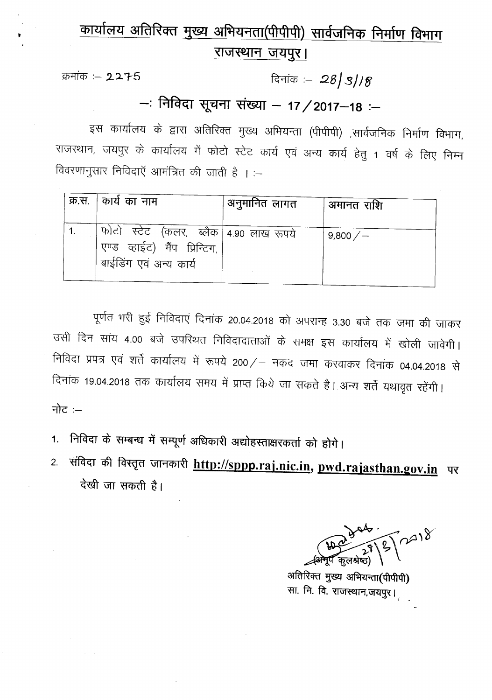# <u>कार्यालय अतिरिक्त मुख्य अभियनता(पीपीपी) सार्वजनिक निर्माण विभाग</u> <u>राजस्थान जयपुर।</u>

क्रमांक :- 2275

<sup>R</sup>'iiCb :- **:28***<sup>J</sup>* **3/***Iff*

## **-: PlRlG:1** xt-q~1 **ti&:fl - 17/2017-18 :-**

इस कार्यालय के द्वारा अतिरिक्त मुख्य अभियन्ता (पीपीपी) ,सार्वजनिक निर्माण विभाग, राजस्थान, जयपुर के कार्यालय में फोटो स्टेट कार्य एवं अन्य कार्य हेतु 1 वर्ष के लिए निम्न विवरणानुसार निविदाएँ आमंत्रित की जाती है । :-

|    | क्र.स.   कार्य का नाम                                                                                | ,अनुमानित लागत | अमानत राशि |
|----|------------------------------------------------------------------------------------------------------|----------------|------------|
| 1. | फोटो) स्टेट) (कलर,) ब्लैक   4.90 लाख रूपये<br>एण्ड व्हाईट) मैंप प्रिन्टिग,<br>बाईडिंग एवं अन्य कार्य |                | 9,800/     |

पूर्णत भरी हुई निविदाएं दिनांक 20.04.2018 को अपरान्ह 3.30 बजे तक जमा की जाकर उसी दिन सांय 4.00 बजे उपरिथत निविदादाताओं के समक्ष इस कार्यालय में खोली जावेगी। निविदा प्रपत्र एवं शर्ते कार्यालय में रूपये 200/- नकद जमा करवाकर दिनांक 04.04.2018 से दिनांक 19.04.2018 तक कार्यालय समय में प्राप्त किये जा सकते है। अन्य शर्ते यथावृत रहेंगी। नोट :–

- **1. PlfqGI** *c5 <sup>~</sup> <sup>~</sup> <sup>~</sup> <sup>~</sup>* **31W5ffila1'!Cb(li Cf>T M<sup>I</sup>**
- 2. **tifqGI cp'T** fq~(l \J11'iCbI~ **http://sppp.raj.nic.in, pwd.rajasthan.gov.in tR**  $\frac{1}{3}$ देखी जा सकती है।

 $m318$ 

अतिरिक्त मुख्य अभियन्ता(पीपीपी) सा. नि. वि. राजस्थान,जयपुर।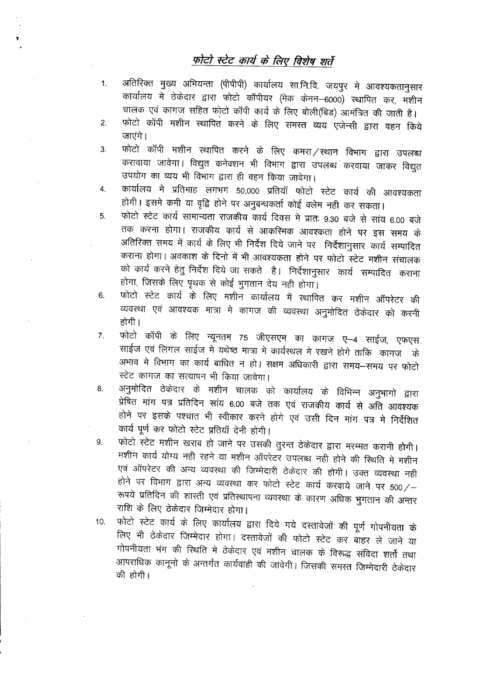#### फोटो स्टेट कार्य के लिए विशेष शर्ते

- अतिरिक्त मुख्य अभियन्ता (पीपीपी) कार्यालय सा.नि.वि. जयपुर मे आवश्यकतानुसार  $1.$ कार्यालय में ठेकेदार द्वारा फोटो कॉपीयर (मेक केनन–6000) स्थापित कर, मशीन चालक एवं कागज सहित फोटो कॉपी कार्य के लिए बोली(बिड) आमंत्रित की जाती है।
- फोटो कॉपी मशीन स्थापित करने के लिए समस्त व्यय एजेन्सी द्वारा वहन किये  $2.$ जाएंगे।
- फोटो कॉपी मशीन स्थापित करने के लिए कमरा / स्थान विभाग द्वारा उपलब्ध 3. करावाया जावेगा। विद्युत कनेक्शन भी विभाग द्वारा उपलब्ध करवाया जाकर विद्युत उपयोग का व्यय भी विभाग द्वारा ही वहन किया जावेगा।
- कार्यालय मे प्रतिमाह लगभग 50,000 प्रतियॉ फोटो स्टेट कार्य की आवश्यकता 4. होगी। इसमे कमी या वृद्वि होने पर अनुबन्धकर्ता कोई क्लेम नही कर सकता।
- फोटो स्टेट कार्य सामान्यता राजकीय कार्य दिवस मे प्रातः 9.30 बजे से सांय 6.00 बजे  $5<sub>1</sub>$ तक करना होगा। राजकीय कार्य से आकस्मिक आवश्कता होने पर इस समय के अतिरिक्त समय में कार्य के लिए भी निर्देश दिये जाने पर निर्देशानुसार कार्य सम्पादित कराना होगा। अवकाश के दिनो में भी आवश्यकता होने पर फोटो स्टेट मशीन संचालक को कार्य करने हेतु निर्देश दिये जा सकते है। निर्देशानुसार कार्य सम्पादित कराना होगा, जिसके लिए पृथक से कोई भुगतान देय नही होगा।
- फोटो स्टेट कार्य के लिए मशीन कार्यालय में स्थापित कर मशीन ऑपरेटर की 6. व्यवस्था एवं आवश्यक मात्रा मे कागज की व्यवस्था अनुमोदित ठेकेदार को करनी होगी ।
- फोटो कॉपी के लिए न्यूनतम 75 जीएसएम का कागज ए–4 साईज, एफएस 7. साईज एवं लिगल साईज में यथेष्ठ मात्रा में कार्यस्थल में रखने होगे ताकि कागज अभाव मे विभाग का कार्य बाधित न हो। सक्षम अधिकारी द्वारा समय—समय पर फोटो स्टेट कागज का सत्यापन भी किया जावेगा।
- अनुमोदित ठेकेदार के मशीन चालक को कार्यालय के विभिन्न अनुभागो द्वारा 8. प्रेषित मांग पत्र प्रतिदिन सांय 6.00 बजे तक एवं राजकीय कार्य से अति आवश्यक होने पर इसके पश्चात भी स्वीकार करने होगे एवं उसी दिन मांग पत्र मे निर्देशित कार्य पूर्ण कर फोटो स्टेट प्रतियॉ देनी होगी।
- फोटो स्टेट मशीन खराब हो जाने पर उसकी तुरन्त ठेकेदार द्वारा मरम्मत करानी होगी। 9. मशीन कार्य योग्य नहीं रहने या मशीन ऑपरेटर उपलब्ध नहीं होने की स्थिति में मशीन एवं ऑपरेटर की अन्य व्यवस्था की जिम्मेदारी ठेकेदार की होगी। उक्त व्यवस्था नही होने पर विभाग द्वारा अन्य व्यवस्था कर फोटो स्टेट कार्य करवाये जाने पर 500/-रूपये प्रतिदिन की शास्ती एवं प्रतिस्थापना व्यवस्था के कारण अधिक भुगतान की अन्तर राशि के लिए ठेकेदार जिम्मेदार होगा।
- फोटो स्टेट कार्य के लिए कार्यालय द्वारा दिये गये दस्तावेजों की पूर्ण गोपनीयता के  $10.$ लिए भी ठेकेदार जिम्मेदार होगा। दस्तावेजों की फोटो स्टेट कर बाहर ले जाने या गोपनीयता भंग की स्थिति मे ठेकेदार एवं मशीन चालक के विरूद्ध संविदा शर्तो तथा आपराधिक कानूनो के अन्तर्गत कार्यवाही की जावेगी। जिसकी समस्त जिम्मेदारी ठेकेदार की होगी।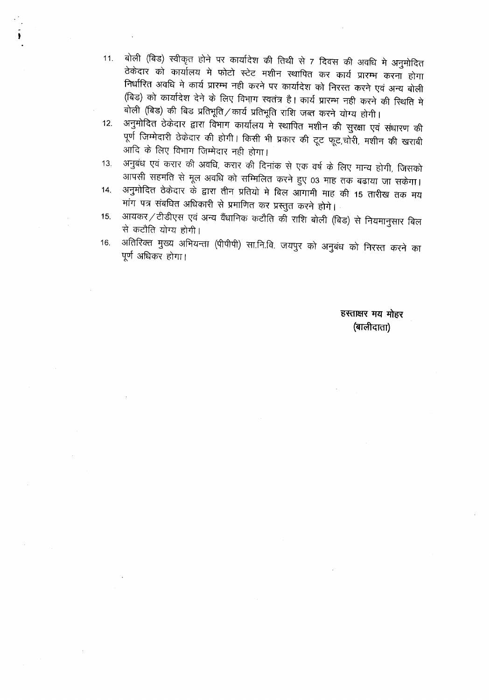11. बोली (बिड) स्वीकृत होने पर कार्यादेश की तिथी से 7 दिवस की अवधि मे अनुमोदित ठेकेदार को कार्यालय मे फोटो स्टेट मशीन स्थापित कर कार्य प्रारम्भ करना होगा निर्धारित अवधि मे कार्य प्रारम्भ नही करने पर कार्यादेश को निरस्त करने एवं अन्य बोली (बिड) को कार्यादेश देने के लिए विभाग स्वतंत्र है। कार्य प्रारम्भ नही करने की स्थिति मे बोली (बिड) की बिड प्रतिभूति / कार्य प्रतिभूति राशि जब्त करने योग्य होगी।

-  $\frac{1}{2}$ 

- 12. अनुमोदित ठेकेदार द्वारा विभाग कार्यालय मे स्थापित मशीन की सुरक्षा एवं संधारण की पूर्ण जिम्मेदारी ठेकेदार की होगी। किसी भी प्रकार की टूट फूट,चोरी, मशीन की खराबी आदि के लिए विभाग जिम्मेदार नही होगा।
- 13. अनुबंध एवं करार की अवधि, करार की दिनांक से एक वर्ष के लिए मान्य होगी, जिसको .<br>आपसी सहमति से मूल अवधि को सम्मिलित करने हुए 03 माह तक बढाया जा सकेगा।
- 14. अनुमोदित ठेकेदार के द्वारा तीन प्रतियो मे बिल आगामी माह की 15 तारीख तक मय मांग पत्र संबधित अधिकारी से प्रमाणित कर प्रस्तुत करने होगे।
- 15. आयकर / टीडीएस एवं अन्य वैंधानिक कटौति की राशि बोली (बिड) से नियमानुसार बिल से कटौति योग्य होगी।
- 16. अतिरिक्त मुख्य अभियन्ता (पीपीपी) सा.नि.वि. जयपुर को अनुबंध को निरस्त करने का पूर्ण अधिकर होगा।

हस्ताक्षर मय मोहर (बालीदाता)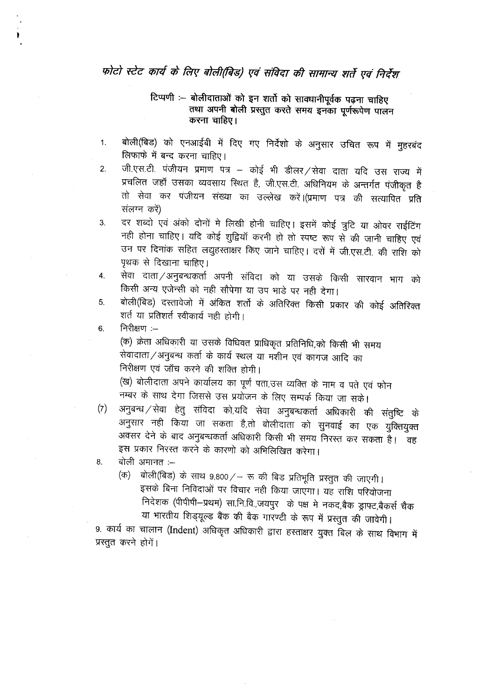### फोटो स्टेट कार्य के लिए बोली(बिड) एवं संविदा की सामान्य शर्ते एवं निर्देश

#### टिप्पणी :-- बोलीदाताओं को इन शर्तो को सावधानीपूर्वक पढ़ना चाहिए तथा अपनी बोली प्रस्तुत करते समय इनका पूर्णरूपेण पालन करना चाहिए।

- . बोली(बिड) को एनआईबी में दिए गए निर्देशो के अनुसार उचित रूप में मुः लिफाफे में बन्द करना चाहिए।
- 2. जी.एस.टी. पंजीयन प्रमाण पत्र कोई भी डीलर /सेवा दाता यदि उस राज्य में जा.एस.टा. पंजायन प्रमाण पत्र — काइ भा डीलर /सेवा दाता यदि उस राज्य में<br>प्रचलित जहाँ उसका व्यवसाय स्थित है, जी.एस.टी. अधिनियम के अन्तर्गत पंजीकृत है तो सेवा कर पंजीयन संख्या का उल्लेख करें।(प्रमाण पत्र की सत्यापित प्रति संलग्न करें)
- 3. दर शब्दो एवं अंको दोनों मे लिखी होनी चाहिए। इसमें कोई त्रुटि या ओवर राईटिंग नही होना चाहिए। यदि कोई शुद्वियाँ करनी हो तो स्पष्ट रूप से की जानी चाहिए एवं उन पर दिनांक सहित लद्युहस्ताक्षर किए जाने चाहिए। दरों में जी.एस.टी. की राशि को पृथक से दिखाना चाहिए।
- 4. सेवा दाता ⁄ अनुबन्धकर्ता अपनी संविदा को या उसके किसी सारवान भाग को किसी अन्य एजेन्सी को नही सौपेगा या उप भाडे पर नही देगा।
- 5. वोली(बिड) दस्तावेजो में अंकित शर्तो के अतिरिक्त किसी प्रकार की कोई अतिरिक्त शर्त या प्रतिशर्त स्वीकार्य नही होगी।

6. निरीक्षण $:=$ 

(क) क्रेता अधिकारी या उसके विधिवत प्राधिकृत प्रतिनिधि,को किसी भी समय \-<sup>;</sup>) ».... जायपगरा या उसके विविधत प्राावकृत प्रातानाघ,का किसा भा <del>.</del><br>सेवादाता ⁄ अनुबन्ध कर्ता के कार्य स्थल या मशीन एवं कागज आदि का निरीक्षण एवं जॉच करने की शक्ति होगी।

- ' 'राय' ' एवं डा.व करना का शावत होगा।<br>(ख) बोलीदाता अपने कार्यालय का पूर्ण पता,उस व्यक्ति के नाम व पते एवं फो नम्बर के साथ देगा जिससे उस प्रयोजन के लिए सम्पर्क किया जा सके।
- *(*7) अनुबन्ध / सेवा हेतु संविदा को,यदि सेवा अनुबन्धकर्ता अधिकारी की संतुष्टि के अनुसार नही किया जा सकता है,तो बोलीदाता को सुनवाई का एक युक्तियुक्त अवसर देने के बाद अनुबन्धकर्ता अधिकारी किसी भी समय निरस्त कर सकता है। वह जनसार में मान्य आनुबन्धयता आवकारा किसी भी स<br>इस प्रकार निरस्त करने के कारणों को अभिलिखित क
- 8. बोली अमानत $:=$ 
	- (क) बोली(बिड) के साथ 9,800/- रू की बिड प्रतिभूति प्रस्तुत की जाएगी। इसके बिना निविदाओं पर विचार नही किया जाएगा। यह राशि परियोजना f.i~:tICf) (~->f\!j11) w.f.i.fcl..~ \* -qa:r <sup>~</sup> ~,~ *~,m ~* <IT <sup>~</sup> ~1~lJ\(Y\S <sup>~</sup> <sup>~</sup> <sup>~</sup> TfR1Jt'r \* Xi)q # ~ ~ ~ I

9. CBT4 CBT <sup>~</sup> (Indent) ~ ~ mxr~m ~ ftrC1" \* ~ ~ # प्रस्तुत करने होगें।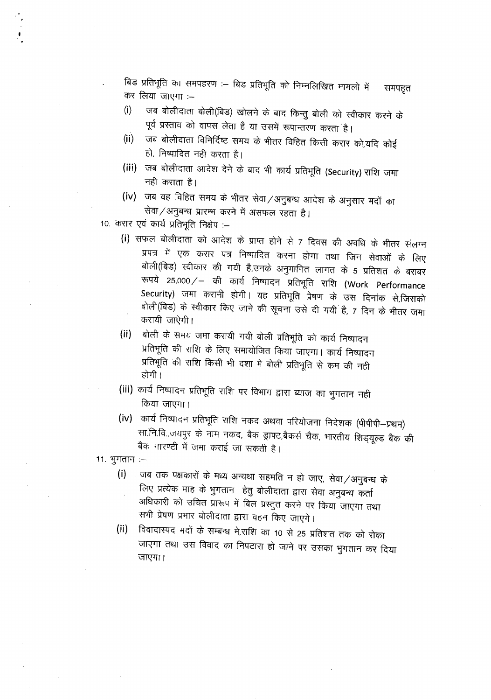बिड प्रतिभूति का समपहरण :- बिड प्रतिभूति को निम्नलिखित मामलो में समपहृत कर लिया जाएगा :–

- (i) जब बोलीदाता बोली(बिड) खोलने के बाद किन्तु बोली को स्वीकार करने के पूर्व प्रस्ताव को वापस लेता है या उसमें रूपान्तरण करता है।
- (ii) जब बोलीदाता विनिर्दिष्ट समय के भीतर विहित किसी करार को,यदि कोई  $\overline{\epsilon}$ i, निष्पादित नही करता है।
- **(iii) ~** i511c11~ldl~ ~ *cfi ~ ~* cpr-4 ~ **(Security) ~** \JflIT नही कराता है।
- *(iv)* जब वह विहित समय के भीतर सेवा / अनुबन्ध आदेश के अनुसार मदों का सेवा / अनुबन्ध प्रारम्भ करने में असफल रहता है।

10. करार एवं कार्य प्रतिभूति निक्षेप :-

- *(i)* सफल बोलीदाता को आदेश के प्राप्त होने से 7 दिवस की अवधि के भीतर संलग्न प्रपत्र में एक करार पत्र निष्पादित करना होगा तथा जिन सेवाओं के लिए बोली(बिड) स्वीकार की गयी है,उनके अनुमानित लागत के 5 प्रतिशत के बराबर ~ 25,000/- cBT cpr-4 f.qtql~'i <sup>~</sup> <sup>~</sup> **(Work Performance** Security) जमा करानी होगी। यह प्रतिभूति प्रेषण के उस दिनांक से,जिसको बोली(बिड) के स्वीकार किए जाने की सूचना उसे दी गयी है, 7 दिन के भीतर जमा करायी जाऐगी।
- (ii) लोली के समय जमा करायी गयी बोली प्रतिभूति को कार्य निष्पादन प्रतिभूति की राशि के लिए समायोजित किया जाएगा। कार्य निष्पादन प्रतिभूति की राशि किसी भी दशा मे बोली प्रतिभूति से कम की नही होगी ।
- (iii) कार्य निष्पादन प्रतिभूति राशि पर विभाग द्वारा ब्याज का भुगतान नही किया जाएगा।
- (iv) कार्य निष्पादन प्रतिभूति राशि नकद अथवा परियोजना निदेशक (पीपीपी-प्रथम) सा.नि.वि.,जयपुर के नाम नकद, बैक ड्राफ्ट,बैकर्स चैक, भारतीय शिड्यूल्ड बैक की बैक गारण्टी में जमा कराई जा सकती है।
- $11.$  भुगतान  $-$ 
	- (i) जब तक पक्षकारों के मध्य अन्यथा सहमति न हो जाए, सेवा / अनुबन्ध के लिए प्रत्येक माह के भुगतान) हेतु बोलीदाता द्वारा सेवा अनुबन्ध कर्ता अधिकारी को उचित प्रारूप में बिल प्रस्तुत करने पर किया जाएगा तथा सभी प्रेषण प्रभार बोलीदाता द्वारा वहन किए जाएगे।
	- **(ii)** विवादास्पद मदों के सम्बन्ध मे,राशि का 10 से 25 प्रतिशत तक को रोका जाएगा तथा उस विवाद का निपटारा हो जाने पर उसका भुगतान कर दिया जाएगा।